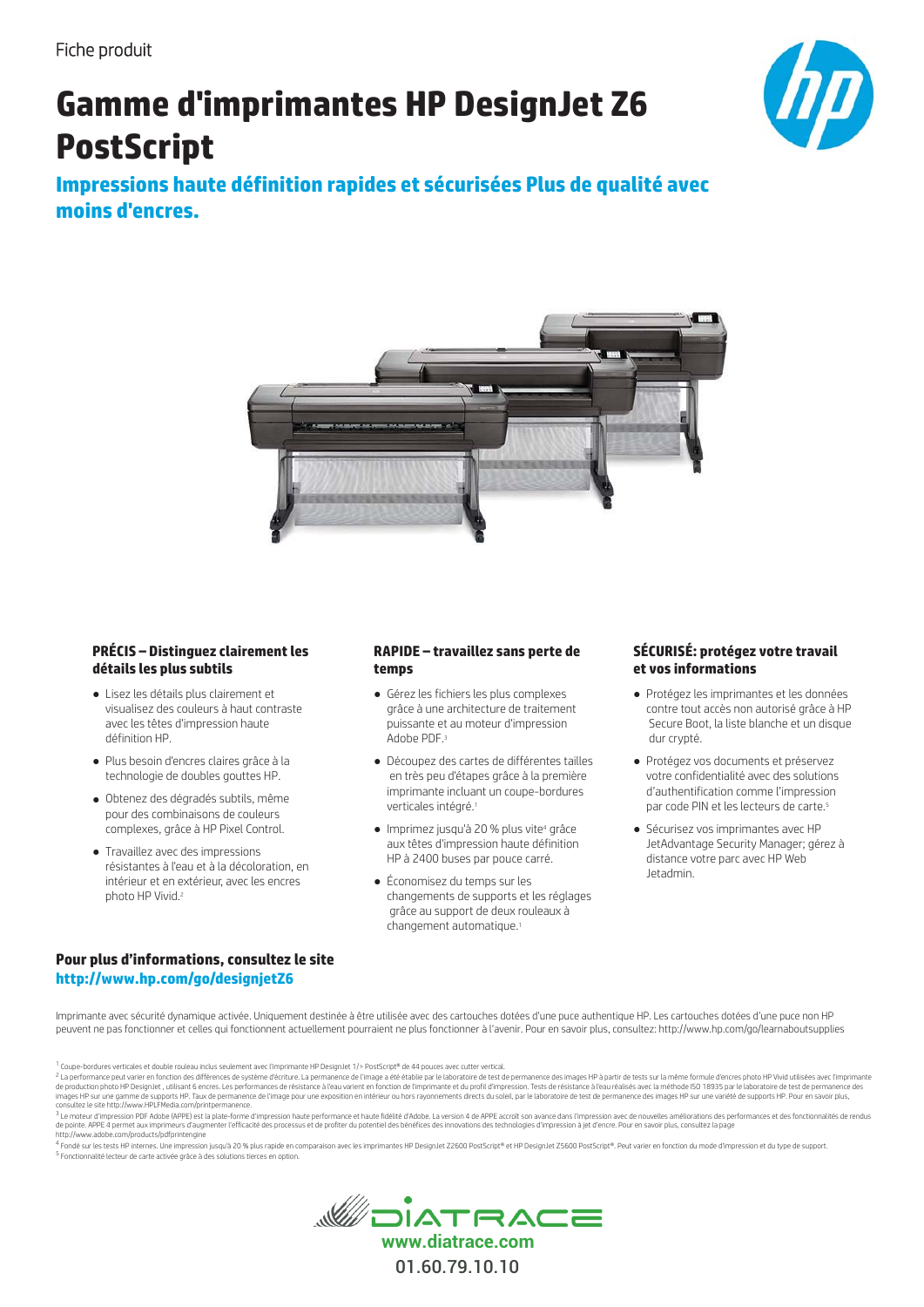# **Gamme d'imprimantes HP DesignJet Z6 PostScript**



Impressions haute définition rapides et sécurisées Plus de qualité avec moins d'encres.



#### **PRÉCIS - Distinguez clairement les** détails les plus subtils

- Lisez les détails plus clairement et visualisez des couleurs à haut contraste avec les têtes d'impression haute définition HP
- · Plus besoin d'encres claires grâce à la technologie de doubles gouttes HP.
- · Obtenez des dégradés subtils, même pour des combinaisons de couleurs complexes, grâce à HP Pixel Control.
- Travaillez avec des impressions résistantes à l'eau et à la décoloration, en intérieur et en extérieur avec les encres photo HP Vivid 2

#### RAPIDE - travaillez sans perte de temps

- · Gérez les fichiers les plus complexes grâce à une architecture de traitement puissante et au moteur d'impression Adobe PDE 3
- · Découpez des cartes de différentes tailles en très peu d'étapes grâce à la première imprimante incluant un coupe-bordures verticales intégré.<sup>1</sup>
- · Imprimez jusqu'à 20 % plus vite<sup>4</sup> grâce aux têtes d'impression haute définition HP à 2400 buses par pouce carré.
- Économisez du temps sur les changements de supports et les réglages grâce au support de deux rouleaux à changement automatique.<sup>1</sup>

#### SÉCURISÉ: protégez votre travail et vos informations

- Protégez les imprimantes et les données contre tout accès non autorisé grâce à HP Secure Boot, la liste blanche et un disque dur crvpté.
- · Protégez vos documents et préservez votre confidentialité avec des solutions d'authentification comme l'impression par code PIN et les lecteurs de carte.<sup>5</sup>
- · Sécurisez vos imprimantes avec HP JetAdvantage Security Manager; gérez à distance votre parc avec HP Web letadmin

#### Pour plus d'informations, consultez le site http://www.hp.com/go/designjetZ6

Imprimante avec sécurité dynamique activée. Uniquement destinée à être utilisée avec des cartouches dotées d'une puce authentique HP. Les cartouches dotées d'une puce non HP peuvent ne pas fonctionner et celles qui fonctionnent actuellement pourraient ne plus fonctionner à l'avenir. Pour en savoir plus, consultez: http://www.hp.com/qo/learnaboutsupplies

<sup>1</sup> Coupe-bordures verticales et double rouleau inclus seulement avec l'imprimante HP DesignJet 1/> PostScript® de 44 pouces avec cutter vertical.

mayes me sure gamme to supports me , eaux to permanente to entrange pour une expositon en intened to instruction of an signification substance. The advanced the set of permanence the sure of the sure of the sure of the sur http://www.adobe.com/products/pdfprintengine

<sup>4</sup> Fondé sur les tests HP internes. Une impression jusqu'à 20 % plus rapide en comparaison avec les imprimantes HP DesignJet Z2600 PostScript® et HP DesignJet Z5600 PostScript®. Peut varier en fonction du mode d'impressio s<br>Fonctionnalité lecteur de carte activée grâce à des solutions tierces en option



coup-consumers the consumer of the consumers of the consumers of the consumer of the consumption of the consumption of the consumption of a performance desimages HP à partir de tests sur la même formule dences photo HP Viv